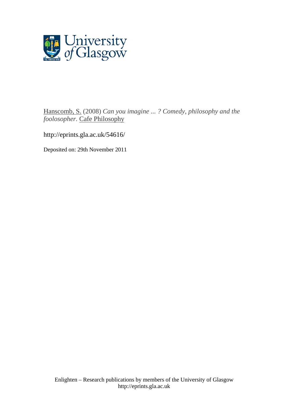

Hanscomb, S. (2008) *Can you imagine ... ? Comedy, philosophy and the foolosopher.* Cafe Philosophy

http://eprints.gla.ac.uk/54616/

Deposited on: 29th November 2011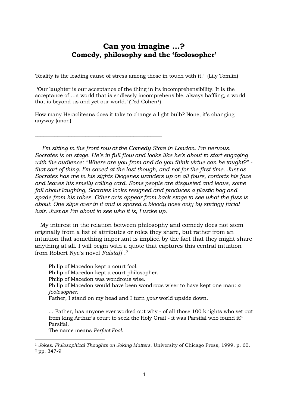# **Can you imagine …? Comedy, philosophy and the 'foolosopher'**

'Reality is the leading cause of stress among those in touch with it.' (Lily Tomlin)

'Our laughter is our acceptance of the thing in its incomprehensibility. It is the acceptance of …a world that is endlessly incomprehensible, always baffling, a world that is beyond us and yet our world.' (Ted Cohen<sup>1</sup>)

How many Heracliteans does it take to change a light bulb? None, it's changing anyway (anon)

\_\_\_\_\_\_\_\_\_\_\_\_\_\_\_\_\_\_\_\_\_\_\_\_\_\_\_\_\_\_\_\_\_\_\_\_\_\_\_\_\_\_\_\_\_

 *I'm sitting in the front row at the Comedy Store in London. I'm nervous. Socrates is on stage. He's in full flow and looks like he's about to start engaging*  with the audience: "Where are you from and do you think virtue can be taught?" *that sort of thing. I'm saved at the last though, and not for the first time. Just as Socrates has me in his sights Diogenes wanders up on all fours, contorts his face and leaves his smelly calling card. Some people are disgusted and leave, some fall about laughing, Socrates looks resigned and produces a plastic bag and spade from his robes. Other acts appear from back stage to see what the fuss is about. One slips over in it and is spared a bloody nose only by springy facial hair. Just as I'm about to see who it is, I wake up.* 

 My interest in the relation between philosophy and comedy does not stem originally from a list of attributes or roles they share, but rather from an intuition that something important is implied by the fact that they might share anything at all. I will begin with a quote that captures this central intuition from Robert Nye's novel *Falstaff* [.2](#page-1-1)

Philip of Macedon kept a court fool. Philip of Macedon kept a court philosopher. Philip of Macedon was wondrous wise. Philip of Macedon would have been wondrous wiser to have kept one man*: a foolosopher.*  Father, I stand on my head and I turn *your* world upside down.

... Father, has anyone ever worked out why - of all those 100 knights who set out from king Arthur's court to seek the Holy Grail - it was Parsifal who found it? Parsifal.

The name means *Perfect Fool*.

<span id="page-1-1"></span><span id="page-1-0"></span><sup>1</sup> *Jokes: Philosophical Thoughts on Joking Matters*. University of Chicago Press, 1999, p. 60. 2 pp. 347-9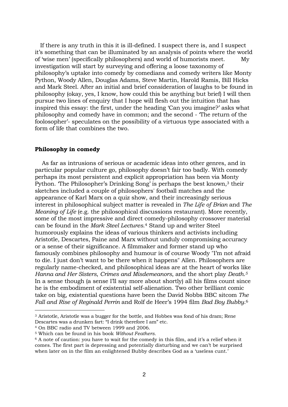If there is any truth in this it is ill-defined. I suspect there is, and I suspect it's something that can be illuminated by an analysis of points where the world of 'wise men' (specifically philosophers) and world of humorists meet. My investigation will start by surveying and offering a loose taxonomy of philosophy's uptake into comedy by comedians and comedy writers like Monty Python, Woody Allen, Douglas Adams, Steve Martin, Harold Ramis, Bill Hicks and Mark Steel. After an initial and brief consideration of laughs to be found in philosophy (okay, yes, I know, how could this be anything but brief) I will then pursue two lines of enquiry that I hope will flesh out the intuition that has inspired this essay: the first, under the heading 'Can you imagine?' asks what philosophy and comedy have in common; and the second - 'The return of the foolosopher'- speculates on the possibility of a virtuous type associated with a form of life that combines the two.

#### **Philosophy in comedy**

 As far as intrusions of serious or academic ideas into other genres, and in particular popular culture go, philosophy doesn't fair too badly. With comedy perhaps its most persistent and explicit appropriation has been via Monty Python. The Philosopher's Drinking Song' is perhaps the best known,<sup>3</sup> their sketches included a couple of philosophers' football matches and the appearance of Karl Marx on a quiz show, and their increasingly serious interest in philosophical subject matter is revealed in *The Life of Brian* and *The Meaning of Life* (e.g. the philosophical discussions restaurant). More recently, some of the most impressive and direct comedy-philosophy crossover material can be found in the *Mark Steel Lectures*[.4](#page-2-1) Stand up and writer Steel humorously explains the ideas of various thinkers and activists including Aristotle, Descartes, Paine and Marx without unduly compromising accuracy or a sense of their significance. A filmmaker and former stand up who famously combines philosophy and humour is of course Woody "I'm not afraid to die. I just don't want to be there when it happens" Allen. Philosophers are regularly name-checked, and philosophical ideas are at the heart of works like *Hanna and Her Sisters*, *Crimes and Misdemeanors*, and the short play *Death.[5](#page-2-2)* In a sense though (a sense I'll say more about shortly) all his films count since he is the embodiment of existential self-alienation. Two other brilliant comic take on big, existential questions have been the David Nobbs BBC sitcom *The Fall and Rise of Reginald Perrin* and Rolf de Heer's 1994 film *Bad Boy Bubby*.[6](#page-2-3)

<span id="page-2-0"></span><sup>3</sup> Aristotle, Aristotle was a bugger for the bottle, and Hobbes was fond of his dram; Rene Descartes was a drunken fart: "I drink therefore I am" etc.

<span id="page-2-1"></span><sup>4</sup> On BBC radio and TV between 1999 and 2006.

<span id="page-2-2"></span><sup>5</sup> Which can be found in his book *Without Feathers.* 

<span id="page-2-3"></span> $6$  A note of caution: you have to wait for the comedy in this film, and it's a relief when it comes. The first part is depressing and potentially disturbing and we can't be surprised when later on in the film an enlightened Bubby describes God as a 'useless cunt.'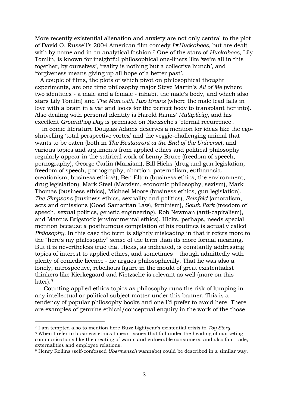More recently existential alienation and anxiety are not only central to the plot of David O. Russell's 2004 American film comedy *I ♥Huckabees*, but are dealt with by name and in an analytical fashion.[7](#page-3-0) One of the stars of *Huckabees*, Lily Tomlin, is known for insightful philosophical one-liners like 'we're all in this together, by ourselves', 'reality is nothing but a collective hunch', and 'forgiveness means giving up all hope of a better past'.

 A couple of films, the plots of which pivot on philosophical thought experiments, are one time philosophy major Steve Martin's *All of Me* (where two identities - a male and a female - inhabit the male's body, and which also stars Lily Tomlin) and *The Man with Two Brains* (where the male lead falls in love with a brain in a vat and looks for the perfect body to transplant her into). Also dealing with personal identity is Harold Ramis' *Multiplicity*, and his excellent *Groundhog Day* is premised on Nietzsche's 'eternal recurrence'.

 In comic literature Douglas Adams deserves a mention for ideas like the egoshrivelling 'total perspective vortex' and the veggie-challenging animal that wants to be eaten (both in *The Restaurant at the End of the Universe*), and various topics and arguments from applied ethics and political philosophy regularly appear in the satirical work of Lenny Bruce (freedom of speech, pornography), George Carlin (Marxism), Bill Hicks (drug and gun legislation, freedom of speech, pornography, abortion, paternalism, euthanasia, creationism, business ethics<sup>8</sup>), Ben Elton (business ethics, the environment, drug legislation), Mark Steel (Marxism, economic philosophy, sexism), Mark Thomas (business ethics), Michael Moore (business ethics, gun legislation), *The Simpsons* (business ethics, sexuality and politics), *Seinfeld* (amoralism, acts and omissions (Good Samaritan Law), feminism), *South Park* (freedom of speech, sexual politics, genetic engineering), Rob Newman (anti-capitalism), and Marcus Brigstock (environmental ethics). Hicks, perhaps, needs special mention because a posthumous compilation of his routines is actually called *Philosophy*. In this case the term is slightly misleading in that it refers more to the "here's my philosophy" sense of the term than its more formal meaning. But it is nevertheless true that Hicks, as indicated, is constantly addressing topics of interest to applied ethics, and sometimes – though admittedly with plenty of comedic licence - he argues philosophically. That he was also a lonely, introspective, rebellious figure in the mould of great existentialist thinkers like Kierkegaard and Nietzsche is relevant as well (more on this later)[.9](#page-3-2)

 Counting applied ethics topics as philosophy runs the risk of lumping in any intellectual or political subject matter under this banner. This is a tendency of popular philosophy books and one I'd prefer to avoid here. There are examples of genuine ethical/conceptual enquiry in the work of the those

i

<span id="page-3-0"></span><sup>7</sup> I am tempted also to mention here Buzz Lightyear's existential crisis in *Toy Story*. 8 When I refer to business ethics I mean issues that fall under the heading of marketing

<span id="page-3-1"></span>communications like the creating of wants and vulnerable consumers; and also fair trade, externalities and employee relations.

<span id="page-3-2"></span><sup>9</sup> Henry Rollins (self-confessed *Übermensch* wannabe) could be described in a similar way.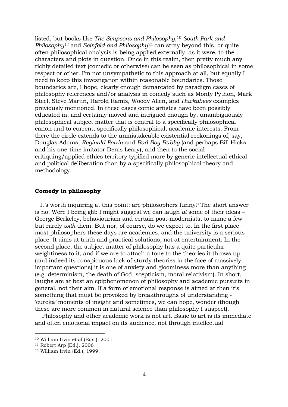listed, but books like *The Simpsons and Philosophy*[,10](#page-4-0) *South Park and Philosophy[11](#page-4-1)* and *Seinfeld and Philosophy*[12](#page-4-2) can stray beyond this, or quite often philosophical analysis is being applied externally, as it were, to the characters and plots in question. Once in this realm, then pretty much any richly detailed text (comedic or otherwise) can be seen as philosophical in some respect or other. I'm not unsympathetic to this approach at all, but equally I need to keep this investigation within reasonable boundaries. Those boundaries are, I hope, clearly enough demarcated by paradigm cases of philosophy references and/or analysis in comedy such as Monty Python, Mark Steel, Steve Martin, Harold Ramis, Woody Allen, and *Huckabees* examples previously mentioned. In these cases comic artistes have been possibly educated in, and certainly moved and intrigued enough by, unambiguously philosophical subject matter that is central to a specifically philosophical canon and to current, specifically philosophical, academic interests. From there the circle extends to the unmistakeable existential reckonings of, say, Douglas Adams, *Reginald Perrin* and *Bad Boy Bubby* (and perhaps Bill Hicks and his one-time imitator Denis Leary), and then to the socialcritiquing/applied ethics territory typified more by generic intellectual ethical and political deliberation than by a specifically philosophical theory and methodology.

# **Comedy in philosophy**

 It's worth inquiring at this point: are philosophers funny? The short answer is no. Were I being glib I might suggest we can laugh *at* some of their ideas – George Berkeley, behaviourism and certain post-modernists, to name a few – but rarely *with* them. But nor, of course, do we expect to. In the first place most philosophers these days are academics, and the university is a serious place. It aims at truth and practical solutions, not at entertainment. In the second place, the subject matter of philosophy has a quite particular weightiness to it, and if we are to attach a tone to the theories it throws up (and indeed its conspicuous lack of sturdy theories in the face of massively important questions) it is one of anxiety and gloominess more than anything (e.g. determinism, the death of God, scepticism, moral relativism). In short, laughs are at best an epiphenomenon of philosophy and academic pursuits in general, not their aim. If a form of emotional response is aimed at then it's something that must be provoked by breakthroughs of understanding - 'eureka' moments of insight and sometimes, we can hope, wonder (though these are more common in natural science than philosophy I suspect).

 Philosophy and other academic work is not art. Basic to art is its immediate and often emotional impact on its audience, not through intellectual

i

<span id="page-4-0"></span><sup>10</sup> William Irvin et al (Eds.), 2001

<span id="page-4-1"></span><sup>11</sup> Robert Arp (Ed.), 2006

<span id="page-4-2"></span><sup>12</sup> William Irvin (Ed.), 1999.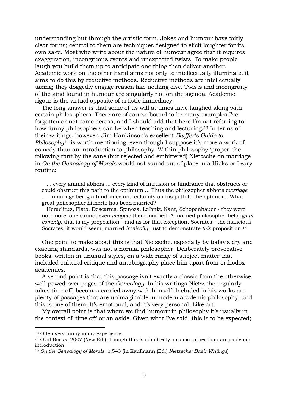understanding but through the artistic form. Jokes and humour have fairly clear forms; central to them are techniques designed to elicit laughter for its own sake. Most who write about the nature of humour agree that it requires exaggeration, incongruous events and unexpected twists. To make people laugh you build them up to anticipate one thing then deliver another. Academic work on the other hand aims not only to intellectually illuminate, it aims to do this by reductive methods. Reductive methods are intellectually taxing; they doggedly engage reason like nothing else. Twists and incongruity of the kind found in humour are singularly not on the agenda. Academic rigour is the virtual opposite of artistic immediacy.

 The long answer is that some of us will at times have laughed along with certain philosophers. There are of course bound to be many examples I've forgotten or not come across, and I should add that here I'm not referring to how funny philosophers can be when teaching and lecturing[.13](#page-5-0) In terms of their writings, however, Jim Hankinson's excellent *Bluffer's Guide to Philosophy*[14](#page-5-1) is worth mentioning, even though I suppose it's more a work of comedy than an introduction to philosophy. Within philosophy 'proper' the following rant by the sane (but rejected and embittered) Nietzsche on marriage in *On the Genealogy of Morals* would not sound out of place in a Hicks or Leary routine:

 ... every animal abhors ... every kind of intrusion or hindrance that obstructs or could obstruct this path to the optimum ... Thus the philosopher abhors *marriage* ... - marriage being a hindrance and calamity on his path to the optimum. What great philosopher hitherto has been married?

 Heraclitus, Plato, Descartes, Spinoza, Leibniz, Kant, Schopenhauer - they were not; more, one cannot even *imagine* them married. A married philosopher belongs *in comedy*, that is my proposition - and as for that exception, Socrates - the malicious Socrates, it would seem, married *ironically*, just to demonstrate *this* proposition[.15](#page-5-2)

 One point to make about this is that Nietzsche, especially by today's dry and exacting standards, was not a normal philosopher. Deliberately provocative books, written in unusual styles, on a wide range of subject matter that included cultural critique and autobiography place him apart from orthodox academics.

 A second point is that this passage isn't exactly a classic from the otherwise well-pawed-over pages of the *Genealogy*. In his writings Nietzsche regularly takes time off, becomes carried away with himself. Included in his works are plenty of passages that are unimaginable in modern academic philosophy, and this is one of them. It's emotional, and it's very personal. Like art.

 My overall point is that where we find humour in philosophy it's usually in the context of 'time off' or an aside. Given what I've said, this is to be expected;

<span id="page-5-0"></span><sup>13</sup> Often very funny in my experience.

<span id="page-5-1"></span><sup>14</sup> Oval Books, 2007 (New Ed.). Though this is admittedly a comic rather than an academic introduction.

<span id="page-5-2"></span><sup>15</sup> *On the Genealogy of Morals*, p.543 (in Kaufmann (Ed.) *Nietzsche: Basic Writings*)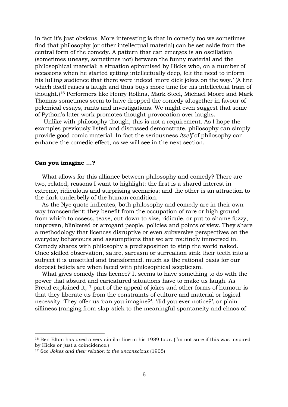in fact it's just obvious. More interesting is that in comedy too we sometimes find that philosophy (or other intellectual material) can be set aside from the central form of the comedy. A pattern that can emerges is an oscillation (sometimes uneasy, sometimes not) between the funny material and the philosophical material; a situation epitomised by Hicks who, on a number of occasions when he started getting intellectually deep, felt the need to inform his lulling audience that there were indeed 'more dick jokes on the way.' (A line which itself raises a laugh and thus buys more time for his intellectual train of thought.)[16](#page-6-0) Performers like Henry Rollins, Mark Steel, Michael Moore and Mark Thomas sometimes seem to have dropped the comedy altogether in favour of polemical essays, rants and investigations. We might even suggest that some of Python's later work promotes thought-provocation over laughs.

 Unlike with philosophy though, this is not a requirement. As I hope the examples previously listed and discussed demonstrate, philosophy can simply provide good comic material. In fact the seriousness *itself* of philosophy can enhance the comedic effect, as we will see in the next section.

## **Can you imagine …?**

i<br>Li

 What allows for this alliance between philosophy and comedy? There are two, related, reasons I want to highlight: the first is a shared interest in extreme, ridiculous and surprising scenarios; and the other is an attraction to the dark underbelly of the human condition.

 As the Nye quote indicates, both philosophy and comedy are in their own way transcendent; they benefit from the occupation of rare or high ground from which to assess, tease, cut down to size, ridicule, or put to shame fuzzy, unproven, blinkered or arrogant people, policies and points of view. They share a methodology that licences disruptive or even subversive perspectives on the everyday behaviours and assumptions that we are routinely immersed in. Comedy shares with philosophy a predisposition to strip the world naked. Once skilled observation, satire, sarcasm or surrealism sink their teeth into a subject it is unsettled and transformed, much as the rational basis for our deepest beliefs are when faced with philosophical scepticism.

 What gives comedy this licence? It seems to have something to do with the power that absurd and caricatured situations have to make us laugh. As Freud explained it,<sup>17</sup> part of the appeal of jokes and other forms of humour is that they liberate us from the constraints of culture and material or logical necessity. They offer us 'can you imagine?', 'did you ever notice?', or plain silliness (ranging from slap-stick to the meaningful spontaneity and chaos of

<span id="page-6-0"></span><sup>&</sup>lt;sup>16</sup> Ben Elton has used a very similar line in his 1989 tour. (I'm not sure if this was inspired by Hicks or just a coincidence.)

<span id="page-6-1"></span><sup>17</sup> See *Jokes and their relation to the unconscious* (1905)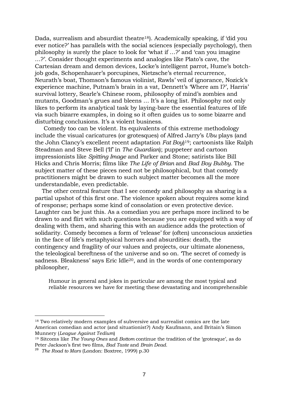Dada, surrealism and absurdist theatre<sup>18</sup>). Academically speaking, if 'did you ever notice?' has parallels with the social sciences (especially psychology), then philosophy is surely the place to look for 'what if …?' and 'can you imagine …?'. Consider thought experiments and analogies like Plato's cave, the Cartesian dream and demon devices, Locke's intelligent parrot, Hume's botchjob gods, Schopenhauer's porcupines, Nietzsche's eternal recurrence, Neurath's boat, Thomson's famous violinist, Rawls' veil of ignorance, Nozick's experience machine, Putnam's brain in a vat, Dennett's 'Where am I?', Harris' survival lottery, Searle's Chinese room, philosophy of mind's zombies and mutants, Goodman's grues and bleens … It's a long list. Philosophy not only likes to perform its analytical task by laying-bare the essential features of life via such bizarre examples, in doing so it often guides us to some bizarre and disturbing conclusions. It's a violent business.

 Comedy too can be violent. Its equivalents of this extreme methodology include the visual caricatures (or grotesques) of Alfred Jarry's *Ubu* plays (and the John Clancy's excellent recent adaptation *Fat Boy*)[19;](#page-7-1) cartoonists like Ralph Steadman and Steve Bell ('If' in *The Guardian*); puppeteer and cartoon impressionists like *Spitting Image* and Parker and Stone; satirists like Bill Hicks and Chris Morris; films like *The Life of Brian* and *Bad Boy Bubby.* The subject matter of these pieces need not be philosophical, but that comedy practitioners might be drawn to such subject matter becomes all the more understandable, even predictable.

 The other central feature that I see comedy and philosophy as sharing is a partial upshot of this first one. The violence spoken about requires some kind of response; perhaps some kind of consolation or even protective device. Laughter can be just this. As a comedian you are perhaps more inclined to be drawn to and flirt with such questions because you are equipped with a way of dealing with them, and sharing this with an audience adds the protection of solidarity. Comedy becomes a form of 'release' for (often) unconscious anxieties in the face of life's metaphysical horrors and absurdities: death, the contingency and fragility of our values and projects, our ultimate aloneness, the teleological bereftness of the universe and so on. 'The secret of comedy is sadness. Bleakness' says Eric Idle<sup>20</sup>, and in the words of one contemporary philosopher,

Humour in general and jokes in particular are among the most typical and reliable resources we have for meeting these devastating and incomprehensible

<span id="page-7-0"></span><sup>&</sup>lt;sup>18</sup> Two relatively modern examples of subversive and surrealist comics are the late American comedian and actor (and situationist?) Andy Kaufmann, and Britain's Simon Munnery (*League Against Tedium*)

<span id="page-7-1"></span><sup>19</sup> Sitcoms like *The Young Ones* and *Bottom* continue the tradition of the 'grotesque', as do Peter Jackson's first two films, *Bad Taste* and *Brain Dead.* 

<span id="page-7-2"></span><sup>20</sup> *The Road to Mars* (London: Boxtree, 1999) p.30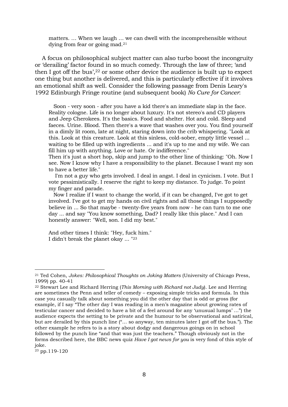matters. … When we laugh … we can dwell with the incomprehensible without dying from fear or going mad.<sup>21</sup>

 A focus on philosophical subject matter can also turbo boost the incongruity or 'derailing' factor found in so much comedy. Through the law of three; 'and then I got off the bus',<sup>22</sup> or some other device the audience is built up to expect one thing but another is delivered, and this is particularly effective if it involves an emotional shift as well. Consider the following passage from Denis Leary's 1992 Edinburgh Fringe routine (and subsequent book) *No Cure for Cancer*:

 Soon - very soon - after you have a kid there's an immediate slap in the face. Reality cologne. Life is no longer about luxury. It's not stereo's and CD players and Jeep Cherokees. It's the basics. Food and shelter. Hot and cold. Sleep and faeces. Urine. Blood. Then there's a wave that washes over you. You find yourself in a dimly lit room, late at night, staring down into the crib whispering. "Look at this. Look at this creature. Look at this sinless, cold-sober, empty little vessel ... waiting to be filled up with ingredients ... and it's up to me and my wife. We can fill him up with anything. Love or hate. Or indifference."

Then it's just a short hop, skip and jump to the other line of thinking: "Oh. Now I see. Now I know why I have a responsibility to the planet. Because I want my son to have a better life."

 I'm not a guy who gets involved. I deal in angst. I deal in cynicism. I vote. But I vote pessimistically. I reserve the right to keep my distance. To judge. To point my finger and parade.

 Now I realize if I want to change the world, if it can be changed, I've got to get involved. I've got to get my hands on civil rights and all those things I supposedly believe in ... So that maybe - twenty-five years from now - he can turn to me one day ... and say "You know something, Dad? I really like this place." And I can honestly answer: "Well, son. I did my best."

And other times I think: "Hey, fuck him." I didn't break the planet okay ... "[23](#page-8-2)

<span id="page-8-2"></span>23 pp.119-120

i<br>I

<span id="page-8-0"></span><sup>21</sup> Ted Cohen, *Jokes: Philosophical Thoughts on Joking Matters* (University of Chicago Press, 1999) pp. 40-41

<span id="page-8-1"></span><sup>22</sup> Stewart Lee and Richard Herring (*This Morning with Richard not Judy*). Lee and Herring are sometimes the Penn and teller of comedy – exposing simple tricks and formula. In this case you casually talk about something you did the other day that is odd or gross (for example, if I say "The other day I was reading in a men's magazine about growing rates of testicular cancer and decided to have a bit of a feel around for any 'unusual lumps' …") the audience expects the setting to be private and the humour to be observational and satirical, but are derailed by this punch line ("… so anyway, ten minutes later I got off the bus."). The other example he refers to is a story about dodgy and dangerous goings on in school followed by the punch line "and that was just the teachers." Though obviously not in the forms described here, the BBC news quiz *Have I got news for you* is very fond of this style of joke.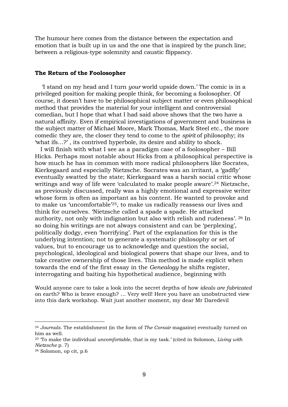The humour here comes from the distance between the expectation and emotion that is built up in us and the one that is inspired by the punch line; between a religious-type solemnity and caustic flippancy.

### **The Return of the Foolosopher**

 'I stand on my head and I turn *your* world upside down.' The comic is in a privileged position for making people think, for becoming a foolosopher. Of course, it doesn't have to be philosophical subject matter or even philosophical method that provides the material for your intelligent and controversial comedian, but I hope that what I had said above shows that the two have a natural affinity. Even if empirical investigations of government and business is the subject matter of Michael Moore, Mark Thomas, Mark Steel etc., the more comedic they are, the closer they tend to come to the *spirit* of philosophy; its 'what ifs…?' , its contrived hyperbole, its desire and ability to shock.

 I will finish with what I see as a paradigm case of a foolosopher – Bill Hicks. Perhaps most notable about Hicks from a philosophical perspective is how much he has in common with more radical philosophers like Socrates, Kierkegaard and especially Nietzsche. Socrates was an irritant, a 'gadfly' eventually swatted by the state; Kierkegaard was a harsh social critic whose writings and way of life were 'calculated to make people aware'.[24](#page-9-0) Nietzsche, as previously discussed, really was a highly emotional and expressive writer whose form is often as important as his content. He wanted to provoke and to make us 'uncomfortable['25,](#page-9-1) to make us radically reassess our lives and think for ourselves. 'Nietzsche called a spade a spade. He attacked authority, not only with indignation but also with relish and rudeness'. [26](#page-9-2) In so doing his writings are not always consistent and can be 'perplexing', politically dodgy, even 'horrifying'. Part of the explanation for this is the underlying intention; not to generate a systematic philosophy or set of values, but to encourage us to acknowledge and question the social, psychological, ideological and biological powers that shape our lives, and to take creative ownership of those lives. This method is made explicit when towards the end of the first essay in the *Genealogy* he shifts register, interrogating and baiting his hypothetical audience, beginning with

Would anyone care to take a look into the secret depths of how *ideals are fabricated*  on earth? Who is brave enough? … Very well! Here you have an unobstructed view into this dark workshop. Wait just another moment, my dear Mr Daredevil

<span id="page-9-0"></span><sup>24</sup> *Journals*. The establishment (in the form of *The Corsair* magazine) eventually turned on him as well.

<span id="page-9-1"></span><sup>25 &#</sup>x27;To make the individual *uncomfortable*, that is my task.' (cited in Solomon, *Living with Nietzsche* p. 7)

<span id="page-9-2"></span><sup>26</sup> Solomon, op cit, p.6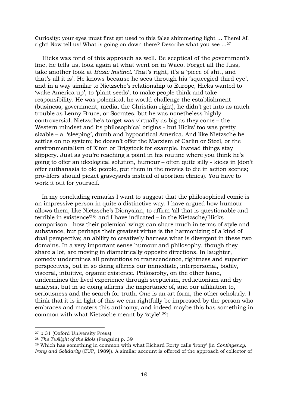Curiosity: your eyes must first get used to this false shimmering light … There! All right! Now tell us! What is going on down there? Describe what you see […27](#page-10-0)

 Hicks was fond of this approach as well. Be sceptical of the government's line, he tells us, look again at what went on in Waco. Forget all the fuss, take another look at *Basic Instinct*. That's right, it's a 'piece of shit, and that's all it is'. He knows because he sees through his 'squeegied third eye', and in a way similar to Nietzsche's relationship to Europe, Hicks wanted to 'wake America up', to 'plant seeds', to make people think and take responsibility. He was polemical, he would challenge the establishment (business, government, media, the Christian right), he didn't get into as much trouble as Lenny Bruce, or Socrates, but he was nonetheless highly controversial. Nietzsche's target was virtually as big as they come – the Western mindset and its philosophical origins - but Hicks' too was pretty sizable – a 'sleeping', dumb and hypocritical America. And like Nietzsche he settles on no system; he doesn't offer the Marxism of Carlin or Steel, or the environmentalism of Elton or Brigstock for example. Instead things stay slippery. Just as you're reaching a point in his routine where you think he's going to offer an ideological solution, humour – often quite silly - kicks in (don't offer euthanasia to old people, put them in the movies to die in action scenes; pro-lifers should picket graveyards instead of abortion clinics). You have to work it out for yourself.

 In my concluding remarks I want to suggest that the philosophical comic is an impressive person in quite a distinctive way. I have argued how humour allows them, like Nietzsche's Dionysian, to affirm 'all that is questionable and terrible in existence['28;](#page-10-1) and I have indicated – in the Nietzsche/Hicks comparison - how their polemical wings can share much in terms of style and substance, but perhaps their greatest virtue is the harmonizing of a kind of dual perspective; an ability to creatively harness what is divergent in these two domains. In a very important sense humour and philosophy, though they share a lot, are moving in diametrically opposite directions. In laughter, comedy undermines all pretentions to transcendence, rightness and superior perspectives, but in so doing affirms our immediate, interpersonal, bodily, visceral, intuitive, organic existence. Philosophy, on the other hand, undermines the lived experience through scepticism, reductionism and dry analysis, but in so doing affirms the importance of, and our affiliation to, seriousness and the search for truth. One is an art form, the other scholarly. I think that it is in light of this we can rightfully be impressed by the person who embraces and masters this antinomy, and indeed maybe this has something in common with what Nietzsche meant by 'style' [29:](#page-10-2)

<span id="page-10-0"></span><sup>27</sup> p.31 (Oxford University Press)

<span id="page-10-1"></span><sup>28</sup> *The Twilight of the Idols* (Penguin) p. 39

<span id="page-10-2"></span><sup>29</sup> Which has something in common with what Richard Rorty calls 'irony' (in *Contingency, Irony and Solidarity* (CUP, 1989)). A similar account is offered of the approach of collector of